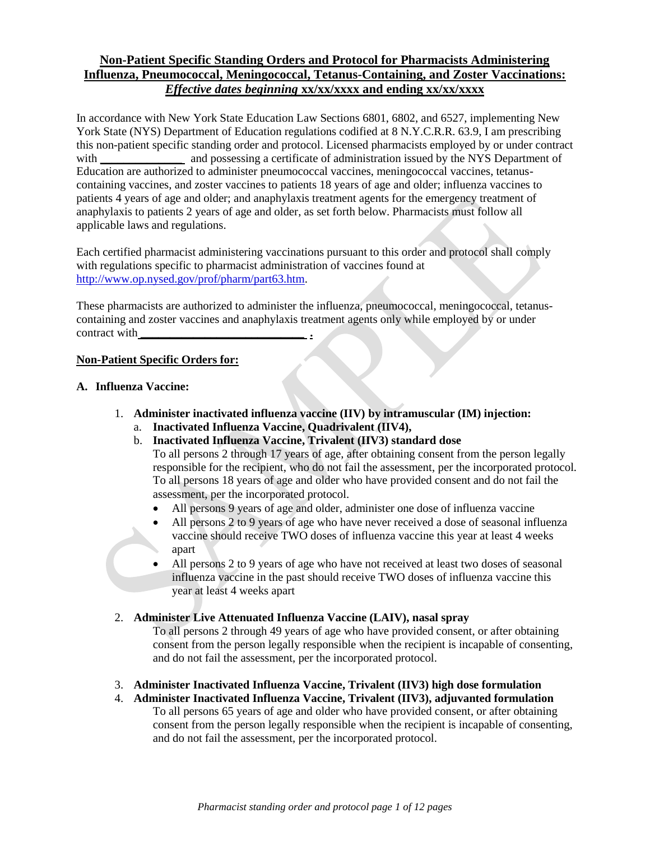# **Non-Patient Specific Standing Orders and Protocol for Pharmacists Administering Influenza, Pneumococcal, Meningococcal, Tetanus-Containing, and Zoster Vaccinations:**  *Effective dates beginning* **xx/xx/xxxx and ending xx/xx/xxxx**

In accordance with New York State Education Law Sections 6801, 6802, and 6527, implementing New York State (NYS) Department of Education regulations codified at 8 N.Y.C.R.R. 63.9, I am prescribing this non-patient specific standing order and protocol. Licensed pharmacists employed by or under contract with **\_\_\_\_\_\_\_\_\_** and possessing a certificate of administration issued by the NYS Department of Education are authorized to administer pneumococcal vaccines, meningococcal vaccines, tetanuscontaining vaccines, and zoster vaccines to patients 18 years of age and older; influenza vaccines to patients 4 years of age and older; and anaphylaxis treatment agents for the emergency treatment of anaphylaxis to patients 2 years of age and older, as set forth below. Pharmacists must follow all applicable laws and regulations.

Each certified pharmacist administering vaccinations pursuant to this order and protocol shall comply with regulations specific to pharmacist administration of vaccines found at [http://www.op.nysed.gov/prof/pharm/part63.htm.](http://www.op.nysed.gov/prof/pharm/part63.htm)

These pharmacists are authorized to administer the influenza, pneumococcal, meningococcal, tetanuscontaining and zoster vaccines and anaphylaxis treatment agents only while employed by or under contract with **\_\_\_\_\_\_\_\_\_\_\_\_\_\_\_\_\_\_\_\_\_\_\_\_\_\_\_\_ .**

## **Non-Patient Specific Orders for:**

### **A. Influenza Vaccine:**

- 1. **Administer inactivated influenza vaccine (IIV) by intramuscular (IM) injection:** 
	- a. **Inactivated Influenza Vaccine, Quadrivalent (IIV4),**
	- b. **Inactivated Influenza Vaccine, Trivalent (IIV3) standard dose**

To all persons 2 through 17 years of age, after obtaining consent from the person legally responsible for the recipient, who do not fail the assessment, per the incorporated protocol. To all persons 18 years of age and older who have provided consent and do not fail the assessment, per the incorporated protocol.

- All persons 9 years of age and older, administer one dose of influenza vaccine
- All persons 2 to 9 years of age who have never received a dose of seasonal influenza vaccine should receive TWO doses of influenza vaccine this year at least 4 weeks apart
- All persons 2 to 9 years of age who have not received at least two doses of seasonal influenza vaccine in the past should receive TWO doses of influenza vaccine this year at least 4 weeks apart

### 2. **Administer Live Attenuated Influenza Vaccine (LAIV), nasal spray**

To all persons 2 through 49 years of age who have provided consent, or after obtaining consent from the person legally responsible when the recipient is incapable of consenting, and do not fail the assessment, per the incorporated protocol.

# 3. **Administer Inactivated Influenza Vaccine, Trivalent (IIV3) high dose formulation**

4. **Administer Inactivated Influenza Vaccine, Trivalent (IIV3), adjuvanted formulation** To all persons 65 years of age and older who have provided consent, or after obtaining consent from the person legally responsible when the recipient is incapable of consenting, and do not fail the assessment, per the incorporated protocol.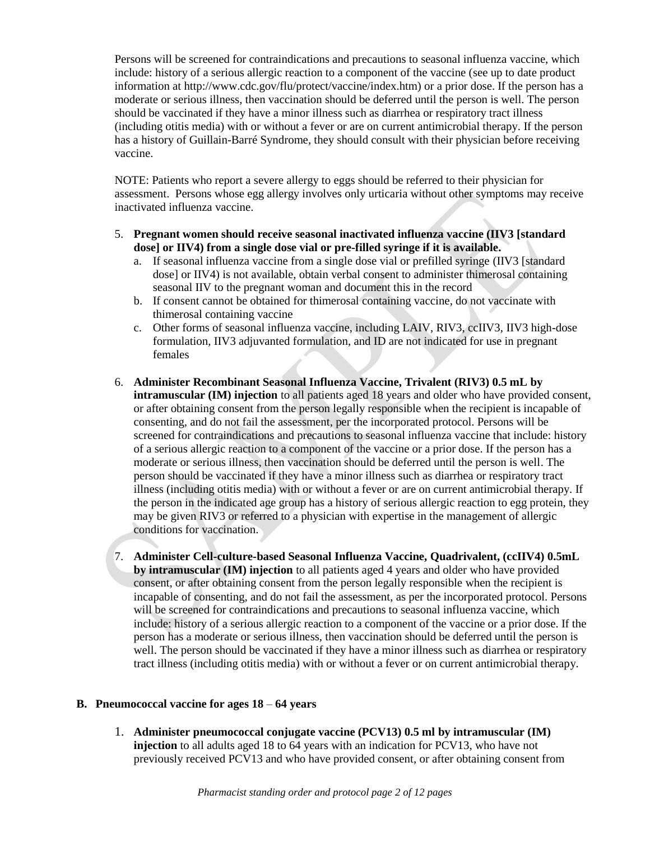Persons will be screened for contraindications and precautions to seasonal influenza vaccine, which include: history of a serious allergic reaction to a component of the vaccine (see up to date product information at http://www.cdc.gov/flu/protect/vaccine/index.htm) or a prior dose. If the person has a moderate or serious illness, then vaccination should be deferred until the person is well. The person should be vaccinated if they have a minor illness such as diarrhea or respiratory tract illness (including otitis media) with or without a fever or are on current antimicrobial therapy. If the person has a history of Guillain-Barré Syndrome, they should consult with their physician before receiving vaccine.

NOTE: Patients who report a severe allergy to eggs should be referred to their physician for assessment. Persons whose egg allergy involves only urticaria without other symptoms may receive inactivated influenza vaccine.

- 5. **Pregnant women should receive seasonal inactivated influenza vaccine (IIV3 [standard dose] or IIV4) from a single dose vial or pre-filled syringe if it is available.**
	- a. If seasonal influenza vaccine from a single dose vial or prefilled syringe (IIV3 [standard dose] or IIV4) is not available, obtain verbal consent to administer thimerosal containing seasonal IIV to the pregnant woman and document this in the record
	- b. If consent cannot be obtained for thimerosal containing vaccine, do not vaccinate with thimerosal containing vaccine
	- c. Other forms of seasonal influenza vaccine, including LAIV, RIV3, ccIIV3, IIV3 high-dose formulation, IIV3 adjuvanted formulation, and ID are not indicated for use in pregnant females
- 6. **Administer Recombinant Seasonal Influenza Vaccine, Trivalent (RIV3) 0.5 mL by intramuscular (IM) injection** to all patients aged 18 years and older who have provided consent, or after obtaining consent from the person legally responsible when the recipient is incapable of consenting, and do not fail the assessment, per the incorporated protocol. Persons will be screened for contraindications and precautions to seasonal influenza vaccine that include: history of a serious allergic reaction to a component of the vaccine or a prior dose. If the person has a moderate or serious illness, then vaccination should be deferred until the person is well. The person should be vaccinated if they have a minor illness such as diarrhea or respiratory tract illness (including otitis media) with or without a fever or are on current antimicrobial therapy. If the person in the indicated age group has a history of serious allergic reaction to egg protein, they may be given RIV3 or referred to a physician with expertise in the management of allergic conditions for vaccination.
- 7. **Administer Cell-culture-based Seasonal Influenza Vaccine, Quadrivalent, (ccIIV4) 0.5mL by intramuscular (IM) injection** to all patients aged 4 years and older who have provided consent, or after obtaining consent from the person legally responsible when the recipient is incapable of consenting, and do not fail the assessment, as per the incorporated protocol. Persons will be screened for contraindications and precautions to seasonal influenza vaccine, which include: history of a serious allergic reaction to a component of the vaccine or a prior dose. If the person has a moderate or serious illness, then vaccination should be deferred until the person is well. The person should be vaccinated if they have a minor illness such as diarrhea or respiratory tract illness (including otitis media) with or without a fever or on current antimicrobial therapy.

# **B. Pneumococcal vaccine for ages 18** – **64 years**

1. **Administer pneumococcal conjugate vaccine (PCV13) 0.5 ml by intramuscular (IM) injection** to all adults aged 18 to 64 years with an indication for PCV13, who have not previously received PCV13 and who have provided consent, or after obtaining consent from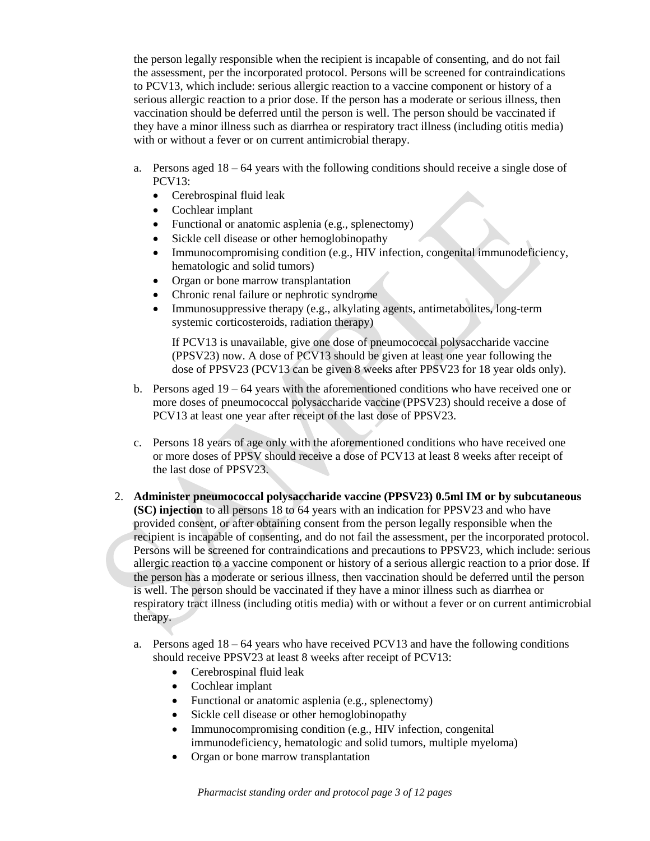the person legally responsible when the recipient is incapable of consenting, and do not fail the assessment, per the incorporated protocol. Persons will be screened for contraindications to PCV13, which include: serious allergic reaction to a vaccine component or history of a serious allergic reaction to a prior dose. If the person has a moderate or serious illness, then vaccination should be deferred until the person is well. The person should be vaccinated if they have a minor illness such as diarrhea or respiratory tract illness (including otitis media) with or without a fever or on current antimicrobial therapy.

- a. Persons aged  $18 64$  years with the following conditions should receive a single dose of PCV13:
	- Cerebrospinal fluid leak
	- Cochlear implant
	- Functional or anatomic asplenia (e.g., splenectomy)
	- Sickle cell disease or other hemoglobinopathy
	- Immunocompromising condition (e.g., HIV infection, congenital immunodeficiency, hematologic and solid tumors)
	- Organ or bone marrow transplantation
	- Chronic renal failure or nephrotic syndrome
	- Immunosuppressive therapy (e.g., alkylating agents, antimetabolites, long-term systemic corticosteroids, radiation therapy)

If PCV13 is unavailable, give one dose of pneumococcal polysaccharide vaccine (PPSV23) now. A dose of PCV13 should be given at least one year following the dose of PPSV23 (PCV13 can be given 8 weeks after PPSV23 for 18 year olds only).

- b. Persons aged  $19 64$  years with the aforementioned conditions who have received one or more doses of pneumococcal polysaccharide vaccine (PPSV23) should receive a dose of PCV13 at least one year after receipt of the last dose of PPSV23.
- c. Persons 18 years of age only with the aforementioned conditions who have received one or more doses of PPSV should receive a dose of PCV13 at least 8 weeks after receipt of the last dose of PPSV23.
- 2. **Administer pneumococcal polysaccharide vaccine (PPSV23) 0.5ml IM or by subcutaneous (SC) injection** to all persons 18 to 64 years with an indication for PPSV23 and who have provided consent, or after obtaining consent from the person legally responsible when the recipient is incapable of consenting, and do not fail the assessment, per the incorporated protocol. Persons will be screened for contraindications and precautions to PPSV23, which include: serious allergic reaction to a vaccine component or history of a serious allergic reaction to a prior dose. If the person has a moderate or serious illness, then vaccination should be deferred until the person is well. The person should be vaccinated if they have a minor illness such as diarrhea or respiratory tract illness (including otitis media) with or without a fever or on current antimicrobial therapy.
	- a. Persons aged  $18 64$  years who have received PCV13 and have the following conditions should receive PPSV23 at least 8 weeks after receipt of PCV13:
		- Cerebrospinal fluid leak
		- Cochlear implant
		- Functional or anatomic asplenia (e.g., splenectomy)
		- Sickle cell disease or other hemoglobinopathy
		- Immunocompromising condition (e.g., HIV infection, congenital immunodeficiency, hematologic and solid tumors, multiple myeloma)
		- Organ or bone marrow transplantation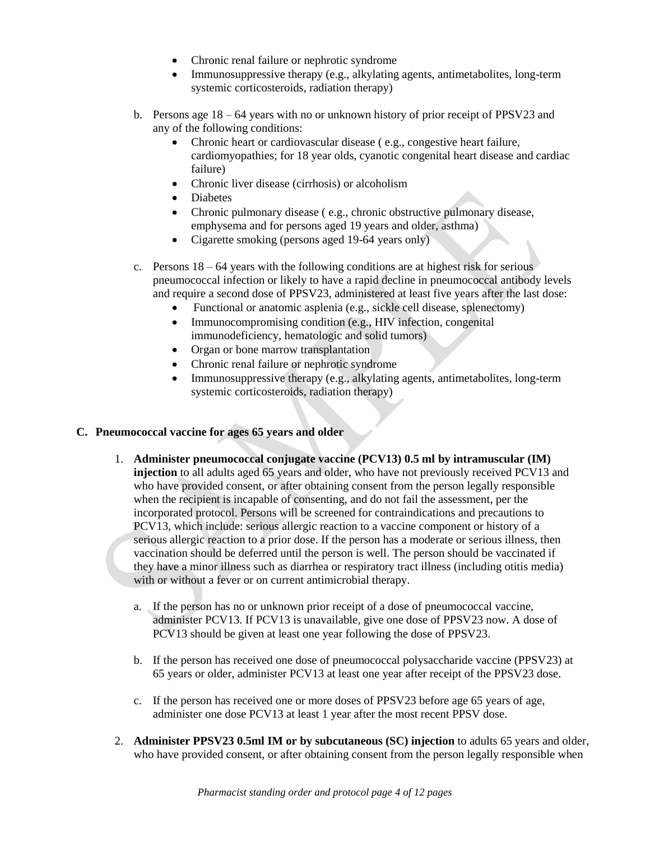- Chronic renal failure or nephrotic syndrome
- Immunosuppressive therapy (e.g., alkylating agents, antimetabolites, long-term systemic corticosteroids, radiation therapy)
- b. Persons age 18 64 years with no or unknown history of prior receipt of PPSV23 and any of the following conditions:
	- Chronic heart or cardiovascular disease ( e.g., congestive heart failure, cardiomyopathies; for 18 year olds, cyanotic congenital heart disease and cardiac failure)
	- Chronic liver disease (cirrhosis) or alcoholism
	- Diabetes
	- Chronic pulmonary disease ( e.g., chronic obstructive pulmonary disease, emphysema and for persons aged 19 years and older, asthma)
	- Cigarette smoking (persons aged 19-64 years only)
- c. Persons 18 64 years with the following conditions are at highest risk for serious pneumococcal infection or likely to have a rapid decline in pneumococcal antibody levels and require a second dose of PPSV23, administered at least five years after the last dose:
	- Functional or anatomic asplenia (e.g., sickle cell disease, splenectomy)
	- Immunocompromising condition (e.g., HIV infection, congenital immunodeficiency, hematologic and solid tumors)
	- Organ or bone marrow transplantation
	- Chronic renal failure or nephrotic syndrome
	- Immunosuppressive therapy (e.g., alkylating agents, antimetabolites, long-term systemic corticosteroids, radiation therapy)

### **C. Pneumococcal vaccine for ages 65 years and older**

- 1. **Administer pneumococcal conjugate vaccine (PCV13) 0.5 ml by intramuscular (IM) injection** to all adults aged 65 years and older, who have not previously received PCV13 and who have provided consent, or after obtaining consent from the person legally responsible when the recipient is incapable of consenting, and do not fail the assessment, per the incorporated protocol. Persons will be screened for contraindications and precautions to PCV13, which include: serious allergic reaction to a vaccine component or history of a serious allergic reaction to a prior dose. If the person has a moderate or serious illness, then vaccination should be deferred until the person is well. The person should be vaccinated if they have a minor illness such as diarrhea or respiratory tract illness (including otitis media) with or without a fever or on current antimicrobial therapy.
	- a. If the person has no or unknown prior receipt of a dose of pneumococcal vaccine, administer PCV13. If PCV13 is unavailable, give one dose of PPSV23 now. A dose of PCV13 should be given at least one year following the dose of PPSV23.
	- b. If the person has received one dose of pneumococcal polysaccharide vaccine (PPSV23) at 65 years or older, administer PCV13 at least one year after receipt of the PPSV23 dose.
	- c. If the person has received one or more doses of PPSV23 before age 65 years of age, administer one dose PCV13 at least 1 year after the most recent PPSV dose.
- 2. **Administer PPSV23 0.5ml IM or by subcutaneous (SC) injection** to adults 65 years and older, who have provided consent, or after obtaining consent from the person legally responsible when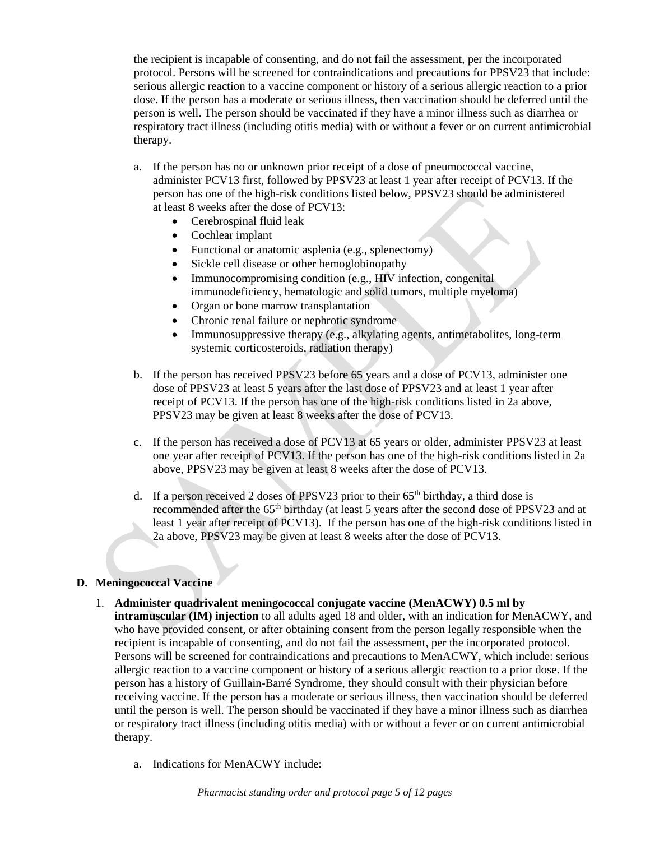the recipient is incapable of consenting, and do not fail the assessment, per the incorporated protocol. Persons will be screened for contraindications and precautions for PPSV23 that include: serious allergic reaction to a vaccine component or history of a serious allergic reaction to a prior dose. If the person has a moderate or serious illness, then vaccination should be deferred until the person is well. The person should be vaccinated if they have a minor illness such as diarrhea or respiratory tract illness (including otitis media) with or without a fever or on current antimicrobial therapy.

- a. If the person has no or unknown prior receipt of a dose of pneumococcal vaccine, administer PCV13 first, followed by PPSV23 at least 1 year after receipt of PCV13. If the person has one of the high-risk conditions listed below, PPSV23 should be administered at least 8 weeks after the dose of PCV13:
	- Cerebrospinal fluid leak
	- Cochlear implant
	- Functional or anatomic asplenia (e.g., splenectomy)
	- Sickle cell disease or other hemoglobinopathy
	- Immunocompromising condition (e.g., HIV infection, congenital immunodeficiency, hematologic and solid tumors, multiple myeloma)
	- Organ or bone marrow transplantation
	- Chronic renal failure or nephrotic syndrome
	- Immunosuppressive therapy (e.g., alkylating agents, antimetabolites, long-term systemic corticosteroids, radiation therapy)
- b. If the person has received PPSV23 before 65 years and a dose of PCV13, administer one dose of PPSV23 at least 5 years after the last dose of PPSV23 and at least 1 year after receipt of PCV13. If the person has one of the high-risk conditions listed in 2a above, PPSV23 may be given at least 8 weeks after the dose of PCV13.
- c. If the person has received a dose of PCV13 at 65 years or older, administer PPSV23 at least one year after receipt of PCV13. If the person has one of the high-risk conditions listed in 2a above, PPSV23 may be given at least 8 weeks after the dose of PCV13.
- d. If a person received 2 doses of PPSV23 prior to their  $65<sup>th</sup>$  birthday, a third dose is recommended after the 65<sup>th</sup> birthday (at least 5 years after the second dose of PPSV23 and at least 1 year after receipt of PCV13). If the person has one of the high-risk conditions listed in 2a above, PPSV23 may be given at least 8 weeks after the dose of PCV13.

### **D. Meningococcal Vaccine**

- 1. **Administer quadrivalent meningococcal conjugate vaccine (MenACWY) 0.5 ml by intramuscular (IM) injection** to all adults aged 18 and older, with an indication for MenACWY, and who have provided consent, or after obtaining consent from the person legally responsible when the recipient is incapable of consenting, and do not fail the assessment, per the incorporated protocol. Persons will be screened for contraindications and precautions to MenACWY, which include: serious allergic reaction to a vaccine component or history of a serious allergic reaction to a prior dose. If the person has a history of Guillain-Barré Syndrome, they should consult with their physician before receiving vaccine. If the person has a moderate or serious illness, then vaccination should be deferred until the person is well. The person should be vaccinated if they have a minor illness such as diarrhea or respiratory tract illness (including otitis media) with or without a fever or on current antimicrobial therapy.
	- a. Indications for MenACWY include: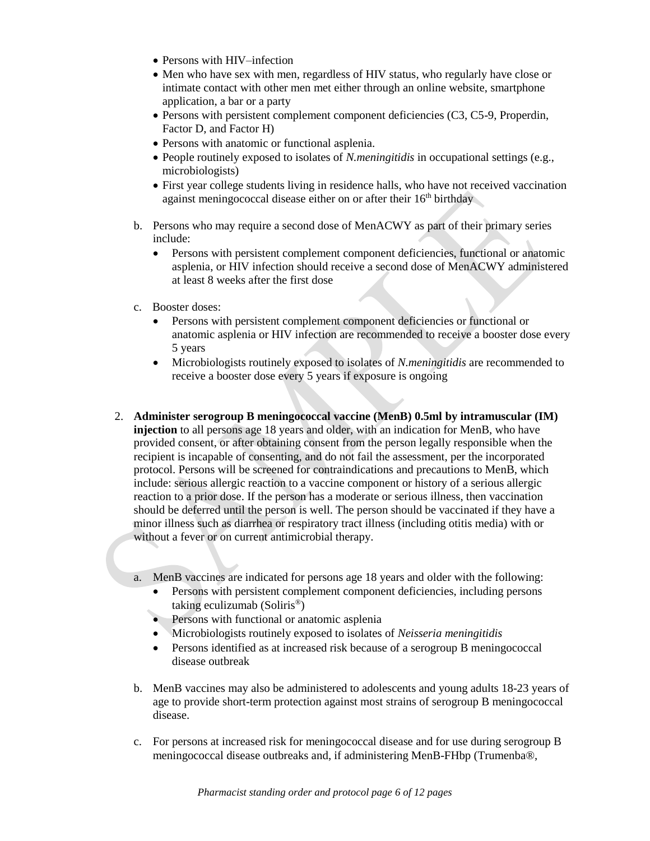- Persons with HIV–infection
- Men who have sex with men, regardless of HIV status, who regularly have close or intimate contact with other men met either through an online website, smartphone application, a bar or a party
- Persons with persistent complement component deficiencies (C3, C5-9, Properdin, Factor D, and Factor H)
- Persons with anatomic or functional asplenia.
- People routinely exposed to isolates of *N.meningitidis* in occupational settings (e.g., microbiologists)
- First year college students living in residence halls, who have not received vaccination against meningococcal disease either on or after their 16<sup>th</sup> birthday
- b. Persons who may require a second dose of MenACWY as part of their primary series include:
	- Persons with persistent complement component deficiencies, functional or anatomic asplenia, or HIV infection should receive a second dose of MenACWY administered at least 8 weeks after the first dose
- c. Booster doses:
	- Persons with persistent complement component deficiencies or functional or anatomic asplenia or HIV infection are recommended to receive a booster dose every 5 years
	- Microbiologists routinely exposed to isolates of *N.meningitidis* are recommended to receive a booster dose every 5 years if exposure is ongoing
- 2. **Administer serogroup B meningococcal vaccine (MenB) 0.5ml by intramuscular (IM) injection** to all persons age 18 years and older, with an indication for MenB, who have provided consent, or after obtaining consent from the person legally responsible when the recipient is incapable of consenting, and do not fail the assessment, per the incorporated protocol. Persons will be screened for contraindications and precautions to MenB, which include: serious allergic reaction to a vaccine component or history of a serious allergic reaction to a prior dose. If the person has a moderate or serious illness, then vaccination should be deferred until the person is well. The person should be vaccinated if they have a minor illness such as diarrhea or respiratory tract illness (including otitis media) with or without a fever or on current antimicrobial therapy.
	- a. MenB vaccines are indicated for persons age 18 years and older with the following:
		- Persons with persistent complement component deficiencies, including persons taking eculizumab (Soliris®)
		- Persons with functional or anatomic asplenia
		- Microbiologists routinely exposed to isolates of *Neisseria meningitidis*
		- Persons identified as at increased risk because of a serogroup B meningococcal disease outbreak
	- b. MenB vaccines may also be administered to adolescents and young adults 18-23 years of age to provide short-term protection against most strains of serogroup B meningococcal disease.
	- c. For persons at increased risk for meningococcal disease and for use during serogroup B meningococcal disease outbreaks and, if administering MenB-FHbp (Trumenba®,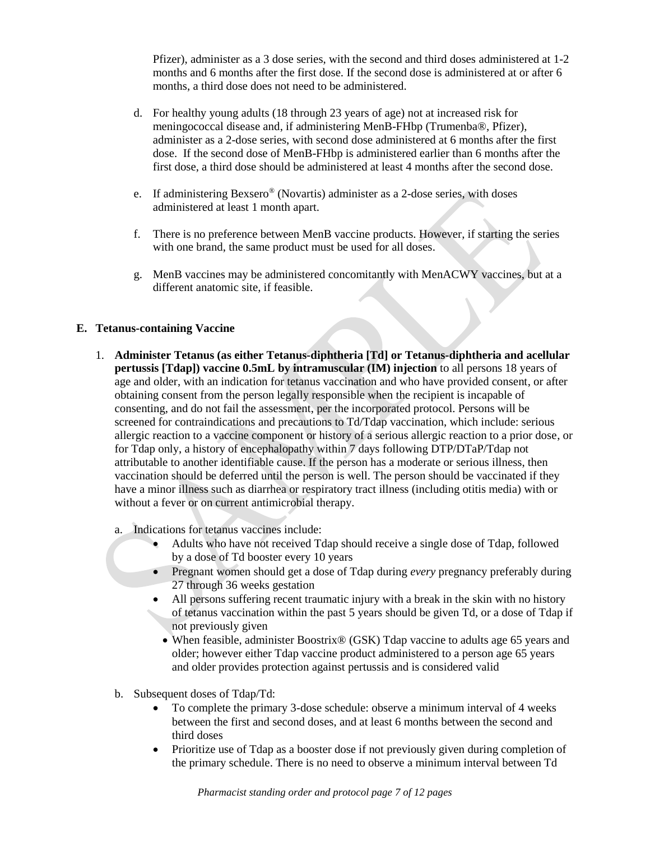Pfizer), administer as a 3 dose series, with the second and third doses administered at 1-2 months and 6 months after the first dose. If the second dose is administered at or after 6 months, a third dose does not need to be administered.

- d. For healthy young adults (18 through 23 years of age) not at increased risk for meningococcal disease and, if administering MenB-FHbp (Trumenba®, Pfizer), administer as a 2-dose series, with second dose administered at 6 months after the first dose. If the second dose of MenB-FHbp is administered earlier than 6 months after the first dose, a third dose should be administered at least 4 months after the second dose.
- e. If administering Bexsero® (Novartis) administer as a 2-dose series, with doses administered at least 1 month apart.
- f. There is no preference between MenB vaccine products. However, if starting the series with one brand, the same product must be used for all doses.
- g. MenB vaccines may be administered concomitantly with MenACWY vaccines, but at a different anatomic site, if feasible.

## **E. Tetanus-containing Vaccine**

- 1. **Administer Tetanus (as either Tetanus-diphtheria [Td] or Tetanus-diphtheria and acellular pertussis [Tdap]) vaccine 0.5mL by intramuscular (IM) injection** to all persons 18 years of age and older, with an indication for tetanus vaccination and who have provided consent, or after obtaining consent from the person legally responsible when the recipient is incapable of consenting, and do not fail the assessment, per the incorporated protocol. Persons will be screened for contraindications and precautions to Td/Tdap vaccination, which include: serious allergic reaction to a vaccine component or history of a serious allergic reaction to a prior dose, or for Tdap only, a history of encephalopathy within 7 days following DTP/DTaP/Tdap not attributable to another identifiable cause. If the person has a moderate or serious illness, then vaccination should be deferred until the person is well. The person should be vaccinated if they have a minor illness such as diarrhea or respiratory tract illness (including otitis media) with or without a fever or on current antimicrobial therapy.
	- a. Indications for tetanus vaccines include:
		- Adults who have not received Tdap should receive a single dose of Tdap, followed by a dose of Td booster every 10 years
		- Pregnant women should get a dose of Tdap during *every* pregnancy preferably during 27 through 36 weeks gestation
		- All persons suffering recent traumatic injury with a break in the skin with no history of tetanus vaccination within the past 5 years should be given Td, or a dose of Tdap if not previously given
			- When feasible, administer Boostrix® (GSK) Tdap vaccine to adults age 65 years and older; however either Tdap vaccine product administered to a person age 65 years and older provides protection against pertussis and is considered valid
	- b. Subsequent doses of Tdap/Td:
		- To complete the primary 3-dose schedule: observe a minimum interval of 4 weeks between the first and second doses, and at least 6 months between the second and third doses
		- Prioritize use of Tdap as a booster dose if not previously given during completion of the primary schedule. There is no need to observe a minimum interval between Td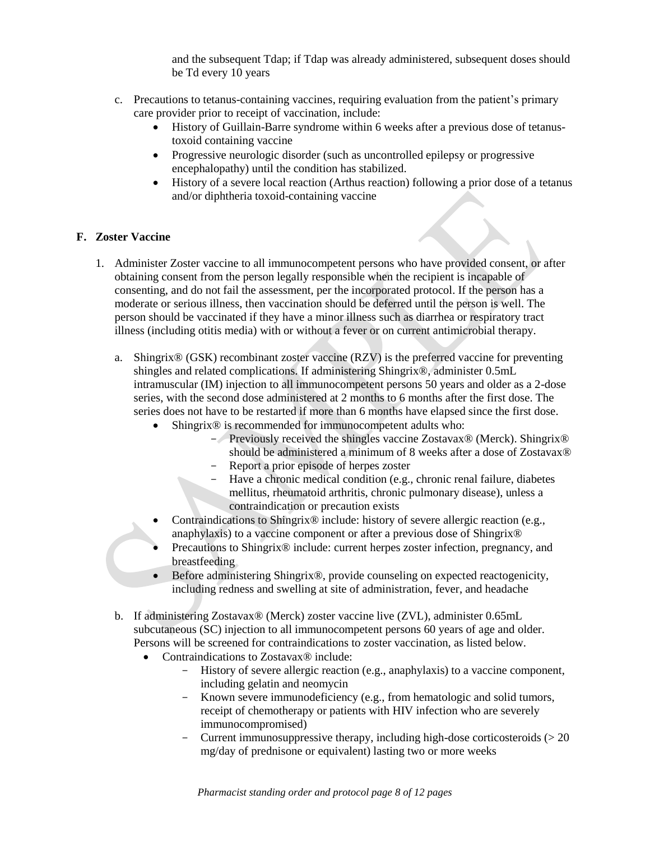and the subsequent Tdap; if Tdap was already administered, subsequent doses should be Td every 10 years

- c. Precautions to tetanus-containing vaccines, requiring evaluation from the patient's primary care provider prior to receipt of vaccination, include:
	- History of Guillain-Barre syndrome within 6 weeks after a previous dose of tetanustoxoid containing vaccine
	- Progressive neurologic disorder (such as uncontrolled epilepsy or progressive encephalopathy) until the condition has stabilized.
	- History of a severe local reaction (Arthus reaction) following a prior dose of a tetanus and/or diphtheria toxoid-containing vaccine

## **F. Zoster Vaccine**

- 1. Administer Zoster vaccine to all immunocompetent persons who have provided consent, or after obtaining consent from the person legally responsible when the recipient is incapable of consenting, and do not fail the assessment, per the incorporated protocol. If the person has a moderate or serious illness, then vaccination should be deferred until the person is well. The person should be vaccinated if they have a minor illness such as diarrhea or respiratory tract illness (including otitis media) with or without a fever or on current antimicrobial therapy.
	- a. Shingrix® (GSK) recombinant zoster vaccine (RZV) is the preferred vaccine for preventing shingles and related complications. If administering Shingrix®, administer 0.5mL intramuscular (IM) injection to all immunocompetent persons 50 years and older as a 2-dose series, with the second dose administered at 2 months to 6 months after the first dose. The series does not have to be restarted if more than 6 months have elapsed since the first dose.
		- Shingrix<sup>®</sup> is recommended for immunocompetent adults who:
			- Previously received the shingles vaccine Zostavax® (Merck). Shingrix® should be administered a minimum of 8 weeks after a dose of Zostavax<sup>®</sup>
				- Report a prior episode of herpes zoster
			- Have a chronic medical condition (e.g., chronic renal failure, diabetes mellitus, rheumatoid arthritis, chronic pulmonary disease), unless a contraindication or precaution exists
		- Contraindications to Shingrix® include: history of severe allergic reaction (e.g., anaphylaxis) to a vaccine component or after a previous dose of Shingrix®
		- Precautions to Shingrix® include: current herpes zoster infection, pregnancy, and breastfeeding
		- Before administering Shingrix®, provide counseling on expected reactogenicity, including redness and swelling at site of administration, fever, and headache
	- b. If administering Zostavax® (Merck) zoster vaccine live (ZVL), administer 0.65mL subcutaneous (SC) injection to all immunocompetent persons 60 years of age and older. Persons will be screened for contraindications to zoster vaccination, as listed below.
		- Contraindications to Zostavax® include:
			- History of severe allergic reaction (e.g., anaphylaxis) to a vaccine component, including gelatin and neomycin
			- Known severe immunodeficiency (e.g., from hematologic and solid tumors, receipt of chemotherapy or patients with HIV infection who are severely immunocompromised)
			- Current immunosuppressive therapy, including high-dose corticosteroids  $(>20$ mg/day of prednisone or equivalent) lasting two or more weeks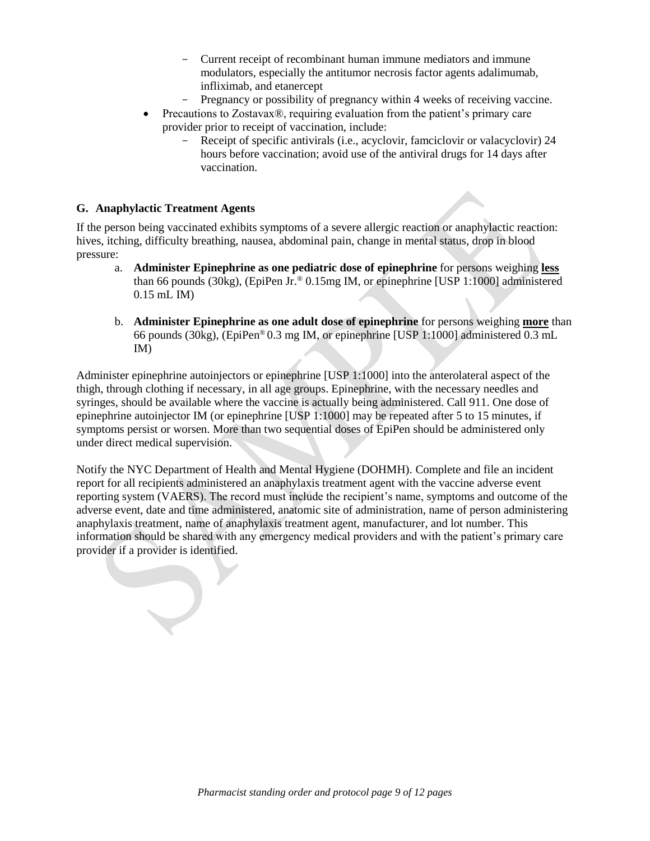- Current receipt of recombinant human immune mediators and immune modulators, especially the antitumor necrosis factor agents adalimumab, infliximab, and etanercept
- Pregnancy or possibility of pregnancy within 4 weeks of receiving vaccine.
- Precautions to Zostavax<sup>®</sup>, requiring evaluation from the patient's primary care provider prior to receipt of vaccination, include:
	- Receipt of specific antivirals (i.e., acyclovir, famciclovir or valacyclovir) 24 hours before vaccination; avoid use of the antiviral drugs for 14 days after vaccination.

#### **G. Anaphylactic Treatment Agents**

If the person being vaccinated exhibits symptoms of a severe allergic reaction or anaphylactic reaction: hives, itching, difficulty breathing, nausea, abdominal pain, change in mental status, drop in blood pressure:

- a. **Administer Epinephrine as one pediatric dose of epinephrine** for persons weighing **less** than 66 pounds (30kg), (EpiPen Jr.  $\degree$  0.15mg IM, or epinephrine [USP 1:1000] administered 0.15 mL IM)
- b. **Administer Epinephrine as one adult dose of epinephrine** for persons weighing **more** than 66 pounds (30kg), (EpiPen® 0.3 mg IM, or epinephrine [USP 1:1000] administered 0.3 mL IM)

Administer epinephrine autoinjectors or epinephrine [USP 1:1000] into the anterolateral aspect of the thigh, through clothing if necessary, in all age groups. Epinephrine, with the necessary needles and syringes, should be available where the vaccine is actually being administered. Call 911. One dose of epinephrine autoinjector IM (or epinephrine [USP 1:1000] may be repeated after 5 to 15 minutes, if symptoms persist or worsen. More than two sequential doses of EpiPen should be administered only under direct medical supervision.

Notify the NYC Department of Health and Mental Hygiene (DOHMH). Complete and file an incident report for all recipients administered an anaphylaxis treatment agent with the vaccine adverse event reporting system (VAERS). The record must include the recipient's name, symptoms and outcome of the adverse event, date and time administered, anatomic site of administration, name of person administering anaphylaxis treatment, name of anaphylaxis treatment agent, manufacturer, and lot number. This information should be shared with any emergency medical providers and with the patient's primary care provider if a provider is identified.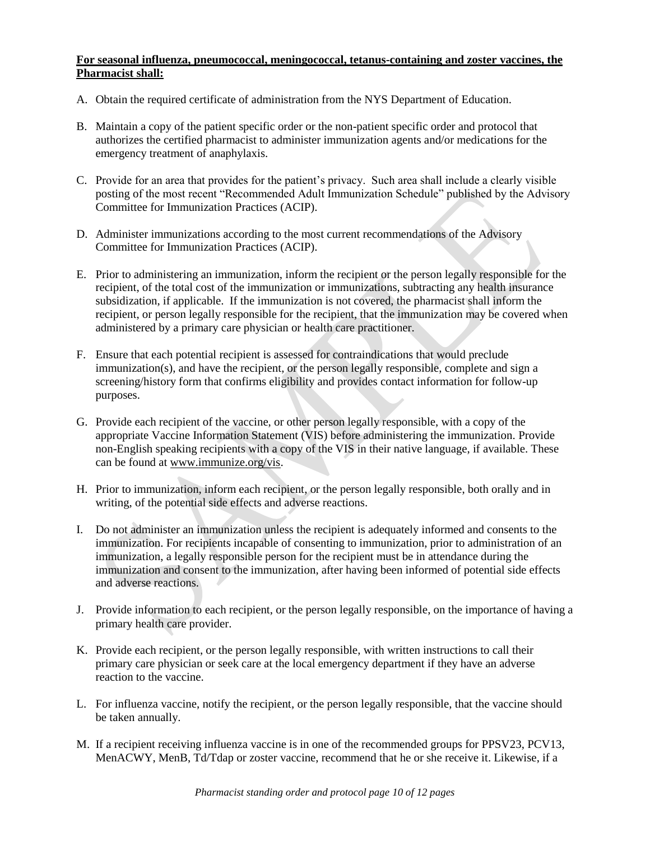### **For seasonal influenza, pneumococcal, meningococcal, tetanus-containing and zoster vaccines, the Pharmacist shall:**

- A. Obtain the required certificate of administration from the NYS Department of Education.
- B. Maintain a copy of the patient specific order or the non-patient specific order and protocol that authorizes the certified pharmacist to administer immunization agents and/or medications for the emergency treatment of anaphylaxis.
- C. Provide for an area that provides for the patient's privacy. Such area shall include a clearly visible posting of the most recent "Recommended Adult Immunization Schedule" published by the Advisory Committee for Immunization Practices (ACIP).
- D. Administer immunizations according to the most current recommendations of the Advisory Committee for Immunization Practices (ACIP).
- E. Prior to administering an immunization, inform the recipient or the person legally responsible for the recipient, of the total cost of the immunization or immunizations, subtracting any health insurance subsidization, if applicable. If the immunization is not covered, the pharmacist shall inform the recipient, or person legally responsible for the recipient, that the immunization may be covered when administered by a primary care physician or health care practitioner.
- F. Ensure that each potential recipient is assessed for contraindications that would preclude immunization(s), and have the recipient, or the person legally responsible, complete and sign a screening/history form that confirms eligibility and provides contact information for follow-up purposes.
- G. Provide each recipient of the vaccine, or other person legally responsible, with a copy of the appropriate Vaccine Information Statement (VIS) before administering the immunization. Provide non-English speaking recipients with a copy of the VIS in their native language, if available. These can be found at [www.immunize.org/vis.](http://www.immunize.org/vis)
- H. Prior to immunization, inform each recipient, or the person legally responsible, both orally and in writing, of the potential side effects and adverse reactions.
- I. Do not administer an immunization unless the recipient is adequately informed and consents to the immunization. For recipients incapable of consenting to immunization, prior to administration of an immunization, a legally responsible person for the recipient must be in attendance during the immunization and consent to the immunization, after having been informed of potential side effects and adverse reactions.
- J. Provide information to each recipient, or the person legally responsible, on the importance of having a primary health care provider.
- K. Provide each recipient, or the person legally responsible, with written instructions to call their primary care physician or seek care at the local emergency department if they have an adverse reaction to the vaccine.
- L. For influenza vaccine, notify the recipient, or the person legally responsible, that the vaccine should be taken annually.
- M. If a recipient receiving influenza vaccine is in one of the recommended groups for PPSV23, PCV13, MenACWY, MenB, Td/Tdap or zoster vaccine, recommend that he or she receive it. Likewise, if a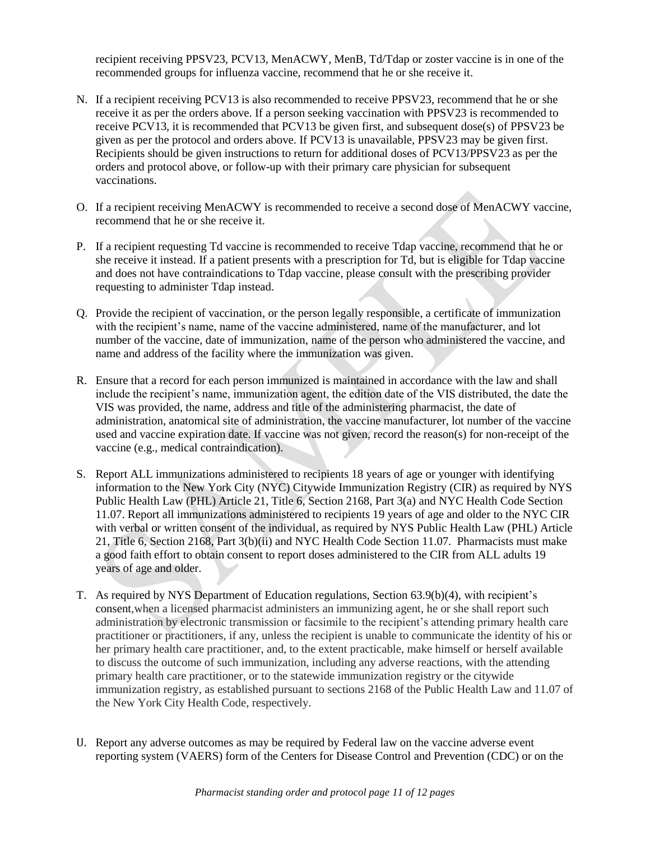recipient receiving PPSV23, PCV13, MenACWY, MenB, Td/Tdap or zoster vaccine is in one of the recommended groups for influenza vaccine, recommend that he or she receive it.

- N. If a recipient receiving PCV13 is also recommended to receive PPSV23, recommend that he or she receive it as per the orders above. If a person seeking vaccination with PPSV23 is recommended to receive PCV13, it is recommended that PCV13 be given first, and subsequent dose(s) of PPSV23 be given as per the protocol and orders above. If PCV13 is unavailable, PPSV23 may be given first. Recipients should be given instructions to return for additional doses of PCV13/PPSV23 as per the orders and protocol above, or follow-up with their primary care physician for subsequent vaccinations.
- O. If a recipient receiving MenACWY is recommended to receive a second dose of MenACWY vaccine, recommend that he or she receive it.
- P. If a recipient requesting Td vaccine is recommended to receive Tdap vaccine, recommend that he or she receive it instead. If a patient presents with a prescription for Td, but is eligible for Tdap vaccine and does not have contraindications to Tdap vaccine, please consult with the prescribing provider requesting to administer Tdap instead.
- Q. Provide the recipient of vaccination, or the person legally responsible, a certificate of immunization with the recipient's name, name of the vaccine administered, name of the manufacturer, and lot number of the vaccine, date of immunization, name of the person who administered the vaccine, and name and address of the facility where the immunization was given.
- R. Ensure that a record for each person immunized is maintained in accordance with the law and shall include the recipient's name, immunization agent, the edition date of the VIS distributed, the date the VIS was provided, the name, address and title of the administering pharmacist, the date of administration, anatomical site of administration, the vaccine manufacturer, lot number of the vaccine used and vaccine expiration date. If vaccine was not given, record the reason(s) for non-receipt of the vaccine (e.g., medical contraindication).
- S. Report ALL immunizations administered to recipients 18 years of age or younger with identifying information to the New York City (NYC) Citywide Immunization Registry (CIR) as required by NYS Public Health Law (PHL) Article 21, Title 6, Section 2168, Part 3(a) and NYC Health Code Section 11.07. Report all immunizations administered to recipients 19 years of age and older to the NYC CIR with verbal or written consent of the individual, as required by NYS Public Health Law (PHL) Article 21, Title 6, Section 2168, Part 3(b)(ii) and NYC Health Code Section 11.07. Pharmacists must make a good faith effort to obtain consent to report doses administered to the CIR from ALL adults 19 years of age and older.
- T. As required by NYS Department of Education regulations, Section 63.9(b)(4), with recipient's consent,when a licensed pharmacist administers an immunizing agent, he or she shall report such administration by electronic transmission or facsimile to the recipient's attending primary health care practitioner or practitioners, if any, unless the recipient is unable to communicate the identity of his or her primary health care practitioner, and, to the extent practicable, make himself or herself available to discuss the outcome of such immunization, including any adverse reactions, with the attending primary health care practitioner, or to the statewide immunization registry or the citywide immunization registry, as established pursuant to sections 2168 of the Public Health Law and 11.07 of the New York City Health Code, respectively.
- U. Report any adverse outcomes as may be required by Federal law on the vaccine adverse event reporting system (VAERS) form of the Centers for Disease Control and Prevention (CDC) or on the